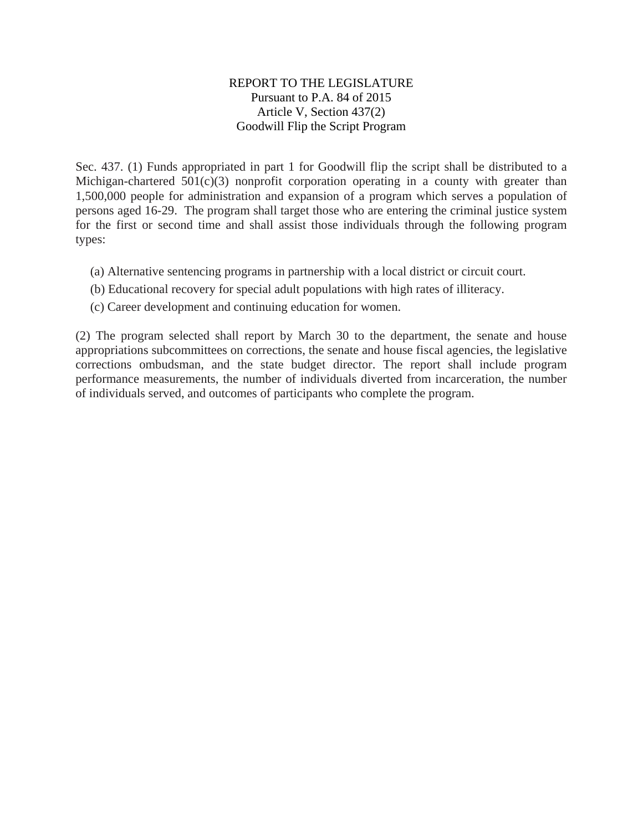#### REPORT TO THE LEGISLATURE Pursuant to P.A. 84 of 2015 Article V, Section 437(2) Goodwill Flip the Script Program

Sec. 437. (1) Funds appropriated in part 1 for Goodwill flip the script shall be distributed to a Michigan-chartered  $501(c)(3)$  nonprofit corporation operating in a county with greater than 1,500,000 people for administration and expansion of a program which serves a population of persons aged 16-29. The program shall target those who are entering the criminal justice system for the first or second time and shall assist those individuals through the following program types:

- (a) Alternative sentencing programs in partnership with a local district or circuit court.
- (b) Educational recovery for special adult populations with high rates of illiteracy.
- (c) Career development and continuing education for women.

(2) The program selected shall report by March 30 to the department, the senate and house appropriations subcommittees on corrections, the senate and house fiscal agencies, the legislative corrections ombudsman, and the state budget director. The report shall include program performance measurements, the number of individuals diverted from incarceration, the number of individuals served, and outcomes of participants who complete the program.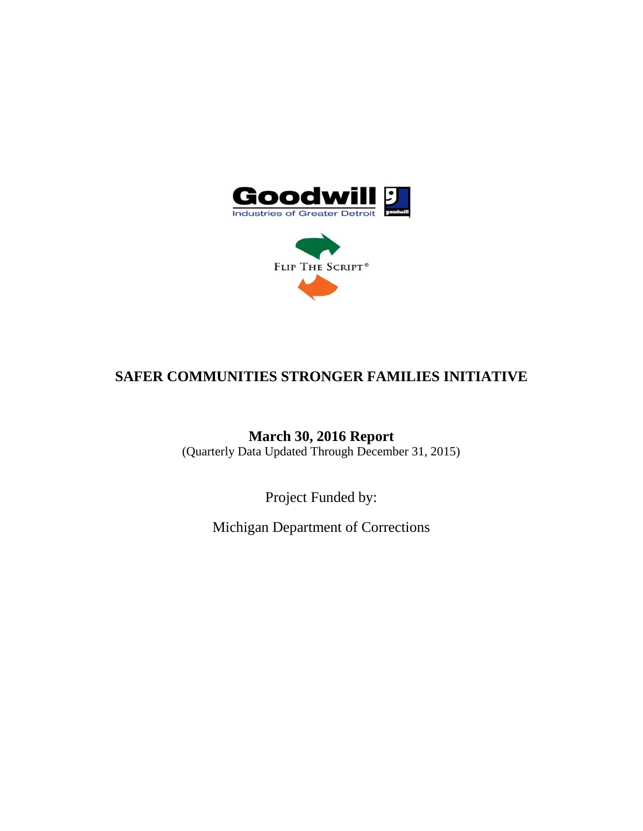



# **SAFER COMMUNITIES STRONGER FAMILIES INITIATIVE**

**March 30, 2016 Report** (Quarterly Data Updated Through December 31, 2015)

Project Funded by:

Michigan Department of Corrections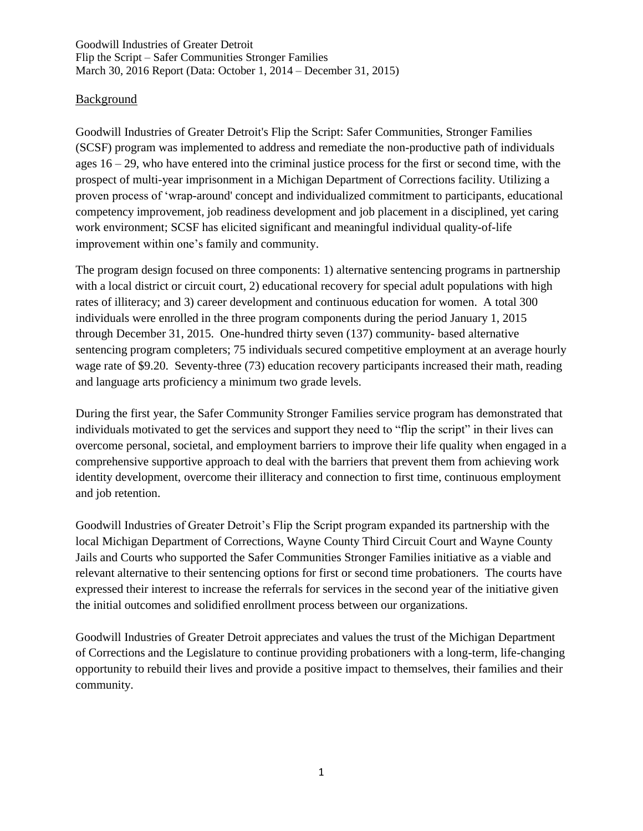#### Background

Goodwill Industries of Greater Detroit's Flip the Script: Safer Communities, Stronger Families (SCSF) program was implemented to address and remediate the non-productive path of individuals ages  $16 - 29$ , who have entered into the criminal justice process for the first or second time, with the prospect of multi-year imprisonment in a Michigan Department of Corrections facility. Utilizing a proven process of 'wrap-around' concept and individualized commitment to participants, educational competency improvement, job readiness development and job placement in a disciplined, yet caring work environment; SCSF has elicited significant and meaningful individual quality-of-life improvement within one's family and community.

The program design focused on three components: 1) alternative sentencing programs in partnership with a local district or circuit court, 2) educational recovery for special adult populations with high rates of illiteracy; and 3) career development and continuous education for women. A total 300 individuals were enrolled in the three program components during the period January 1, 2015 through December 31, 2015. One-hundred thirty seven (137) community- based alternative sentencing program completers; 75 individuals secured competitive employment at an average hourly wage rate of \$9.20. Seventy-three (73) education recovery participants increased their math, reading and language arts proficiency a minimum two grade levels.

During the first year, the Safer Community Stronger Families service program has demonstrated that individuals motivated to get the services and support they need to "flip the script" in their lives can overcome personal, societal, and employment barriers to improve their life quality when engaged in a comprehensive supportive approach to deal with the barriers that prevent them from achieving work identity development, overcome their illiteracy and connection to first time, continuous employment and job retention.

Goodwill Industries of Greater Detroit's Flip the Script program expanded its partnership with the local Michigan Department of Corrections, Wayne County Third Circuit Court and Wayne County Jails and Courts who supported the Safer Communities Stronger Families initiative as a viable and relevant alternative to their sentencing options for first or second time probationers. The courts have expressed their interest to increase the referrals for services in the second year of the initiative given the initial outcomes and solidified enrollment process between our organizations.

Goodwill Industries of Greater Detroit appreciates and values the trust of the Michigan Department of Corrections and the Legislature to continue providing probationers with a long-term, life-changing opportunity to rebuild their lives and provide a positive impact to themselves, their families and their community.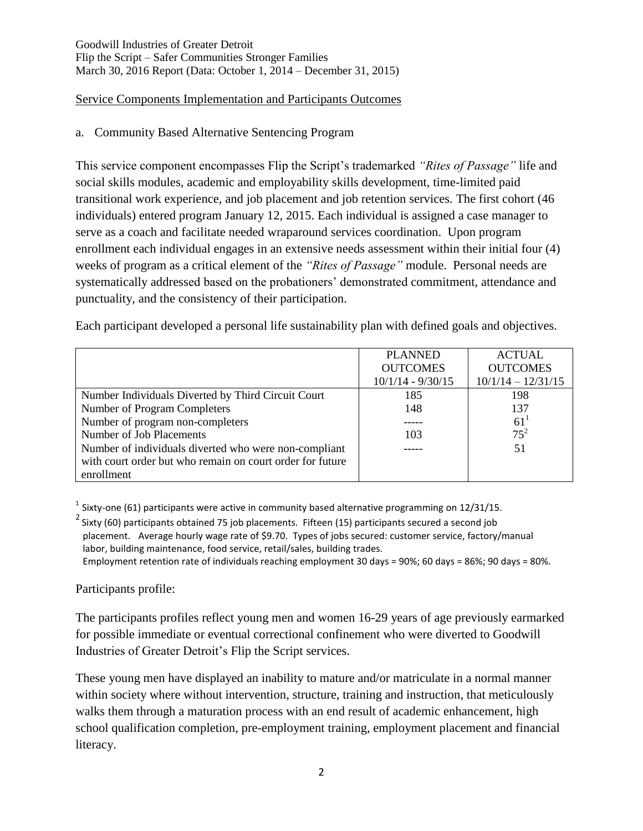## Service Components Implementation and Participants Outcomes

# a. Community Based Alternative Sentencing Program

This service component encompasses Flip the Script's trademarked *"Rites of Passage"* life and social skills modules, academic and employability skills development, time-limited paid transitional work experience, and job placement and job retention services. The first cohort (46 individuals) entered program January 12, 2015. Each individual is assigned a case manager to serve as a coach and facilitate needed wraparound services coordination. Upon program enrollment each individual engages in an extensive needs assessment within their initial four (4) weeks of program as a critical element of the *"Rites of Passage"* module. Personal needs are systematically addressed based on the probationers' demonstrated commitment, attendance and punctuality, and the consistency of their participation.

Each participant developed a personal life sustainability plan with defined goals and objectives.

|                                                           | <b>PLANNED</b>      | <b>ACTUAL</b>        |
|-----------------------------------------------------------|---------------------|----------------------|
|                                                           | <b>OUTCOMES</b>     | <b>OUTCOMES</b>      |
|                                                           | $10/1/14 - 9/30/15$ | $10/1/14 - 12/31/15$ |
| Number Individuals Diverted by Third Circuit Court        | 185                 | 198                  |
| Number of Program Completers                              | 148                 | 137                  |
| Number of program non-completers                          |                     | 61 <sup>1</sup>      |
| Number of Job Placements                                  | 103                 | $75^{2}$             |
| Number of individuals diverted who were non-compliant     |                     | 51                   |
| with court order but who remain on court order for future |                     |                      |
| enrollment                                                |                     |                      |

 $1$  Sixty-one (61) participants were active in community based alternative programming on 12/31/15.

 $^2$  Sixty (60) participants obtained 75 job placements. Fifteen (15) participants secured a second job placement. Average hourly wage rate of \$9.70. Types of jobs secured: customer service, factory/manual labor, building maintenance, food service, retail/sales, building trades. Employment retention rate of individuals reaching employment 30 days = 90%; 60 days = 86%; 90 days = 80%.

Participants profile:

The participants profiles reflect young men and women 16-29 years of age previously earmarked for possible immediate or eventual correctional confinement who were diverted to Goodwill Industries of Greater Detroit's Flip the Script services.

These young men have displayed an inability to mature and/or matriculate in a normal manner within society where without intervention, structure, training and instruction, that meticulously walks them through a maturation process with an end result of academic enhancement, high school qualification completion, pre-employment training, employment placement and financial literacy.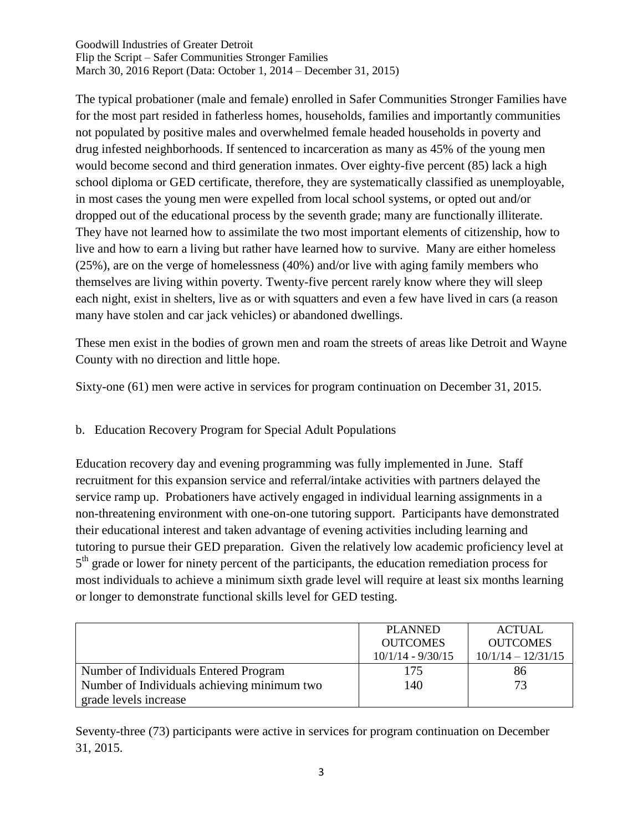The typical probationer (male and female) enrolled in Safer Communities Stronger Families have for the most part resided in fatherless homes, households, families and importantly communities not populated by positive males and overwhelmed female headed households in poverty and drug infested neighborhoods. If sentenced to incarceration as many as 45% of the young men would become second and third generation inmates. Over eighty-five percent (85) lack a high school diploma or GED certificate, therefore, they are systematically classified as unemployable, in most cases the young men were expelled from local school systems, or opted out and/or dropped out of the educational process by the seventh grade; many are functionally illiterate. They have not learned how to assimilate the two most important elements of citizenship, how to live and how to earn a living but rather have learned how to survive. Many are either homeless (25%), are on the verge of homelessness (40%) and/or live with aging family members who themselves are living within poverty. Twenty-five percent rarely know where they will sleep each night, exist in shelters, live as or with squatters and even a few have lived in cars (a reason many have stolen and car jack vehicles) or abandoned dwellings.

These men exist in the bodies of grown men and roam the streets of areas like Detroit and Wayne County with no direction and little hope.

Sixty-one (61) men were active in services for program continuation on December 31, 2015.

## b. Education Recovery Program for Special Adult Populations

Education recovery day and evening programming was fully implemented in June. Staff recruitment for this expansion service and referral/intake activities with partners delayed the service ramp up. Probationers have actively engaged in individual learning assignments in a non-threatening environment with one-on-one tutoring support. Participants have demonstrated their educational interest and taken advantage of evening activities including learning and tutoring to pursue their GED preparation. Given the relatively low academic proficiency level at 5<sup>th</sup> grade or lower for ninety percent of the participants, the education remediation process for most individuals to achieve a minimum sixth grade level will require at least six months learning or longer to demonstrate functional skills level for GED testing.

|                                             | <b>PLANNED</b><br><b>OUTCOMES</b> | <b>ACTUAL</b><br><b>OUTCOMES</b> |
|---------------------------------------------|-----------------------------------|----------------------------------|
|                                             | $10/1/14 - 9/30/15$               | $10/1/14 - 12/31/15$             |
| Number of Individuals Entered Program       | 175                               | 86                               |
| Number of Individuals achieving minimum two | 140                               | 73                               |
| grade levels increase                       |                                   |                                  |

Seventy-three (73) participants were active in services for program continuation on December 31, 2015.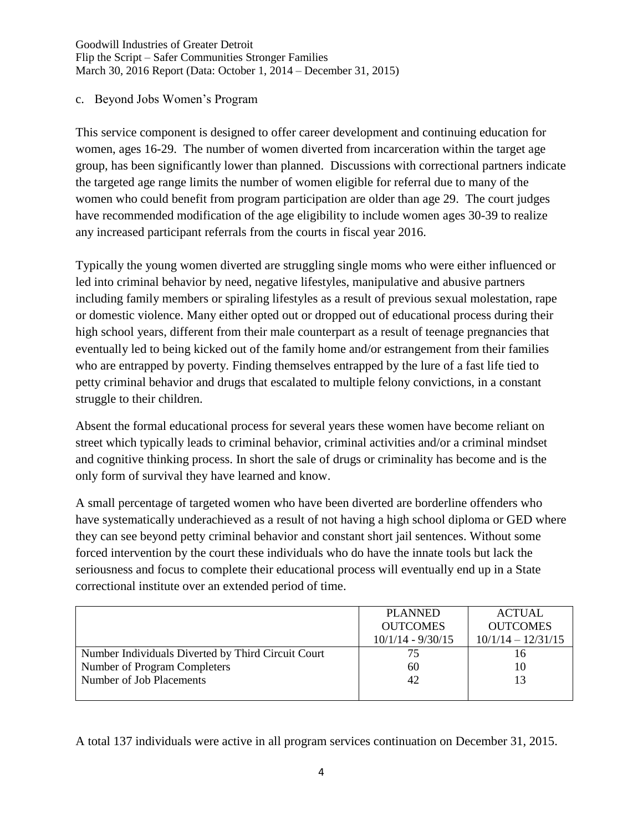#### c. Beyond Jobs Women's Program

This service component is designed to offer career development and continuing education for women, ages 16-29. The number of women diverted from incarceration within the target age group, has been significantly lower than planned. Discussions with correctional partners indicate the targeted age range limits the number of women eligible for referral due to many of the women who could benefit from program participation are older than age 29. The court judges have recommended modification of the age eligibility to include women ages 30-39 to realize any increased participant referrals from the courts in fiscal year 2016.

Typically the young women diverted are struggling single moms who were either influenced or led into criminal behavior by need, negative lifestyles, manipulative and abusive partners including family members or spiraling lifestyles as a result of previous sexual molestation, rape or domestic violence. Many either opted out or dropped out of educational process during their high school years, different from their male counterpart as a result of teenage pregnancies that eventually led to being kicked out of the family home and/or estrangement from their families who are entrapped by poverty. Finding themselves entrapped by the lure of a fast life tied to petty criminal behavior and drugs that escalated to multiple felony convictions, in a constant struggle to their children.

Absent the formal educational process for several years these women have become reliant on street which typically leads to criminal behavior, criminal activities and/or a criminal mindset and cognitive thinking process. In short the sale of drugs or criminality has become and is the only form of survival they have learned and know.

A small percentage of targeted women who have been diverted are borderline offenders who have systematically underachieved as a result of not having a high school diploma or GED where they can see beyond petty criminal behavior and constant short jail sentences. Without some forced intervention by the court these individuals who do have the innate tools but lack the seriousness and focus to complete their educational process will eventually end up in a State correctional institute over an extended period of time.

|                                                    | <b>PLANNED</b>      | <b>ACTUAL</b>        |
|----------------------------------------------------|---------------------|----------------------|
|                                                    | <b>OUTCOMES</b>     | <b>OUTCOMES</b>      |
|                                                    | $10/1/14 - 9/30/15$ | $10/1/14 - 12/31/15$ |
| Number Individuals Diverted by Third Circuit Court | 75                  | 16                   |
| Number of Program Completers                       | 60                  | 10                   |
| Number of Job Placements                           | 42                  |                      |
|                                                    |                     |                      |

A total 137 individuals were active in all program services continuation on December 31, 2015.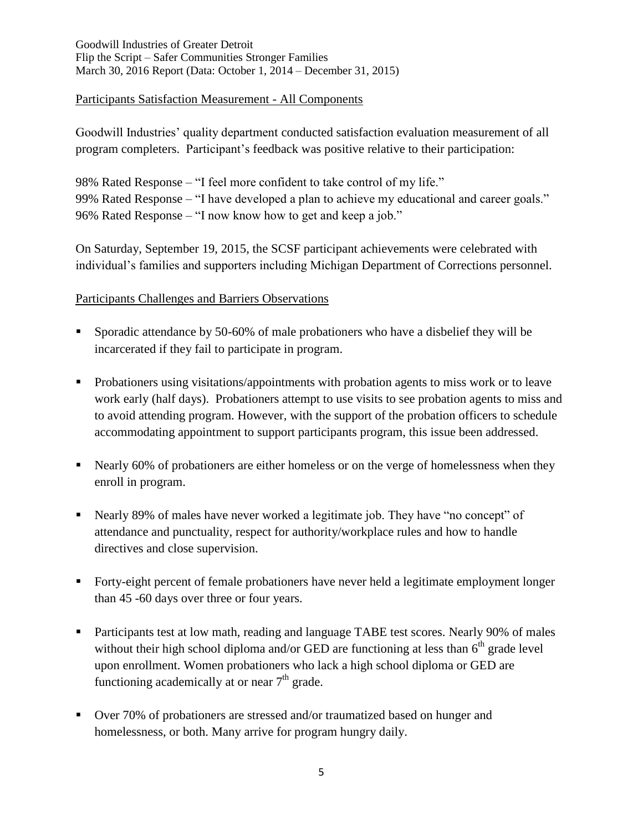#### Participants Satisfaction Measurement - All Components

Goodwill Industries' quality department conducted satisfaction evaluation measurement of all program completers. Participant's feedback was positive relative to their participation:

98% Rated Response – "I feel more confident to take control of my life." 99% Rated Response – "I have developed a plan to achieve my educational and career goals." 96% Rated Response – "I now know how to get and keep a job."

On Saturday, September 19, 2015, the SCSF participant achievements were celebrated with individual's families and supporters including Michigan Department of Corrections personnel.

#### Participants Challenges and Barriers Observations

- Sporadic attendance by 50-60% of male probationers who have a disbelief they will be incarcerated if they fail to participate in program.
- Probationers using visitations/appointments with probation agents to miss work or to leave work early (half days). Probationers attempt to use visits to see probation agents to miss and to avoid attending program. However, with the support of the probation officers to schedule accommodating appointment to support participants program, this issue been addressed.
- Nearly 60% of probationers are either homeless or on the verge of homelessness when they enroll in program.
- Nearly 89% of males have never worked a legitimate job. They have "no concept" of attendance and punctuality, respect for authority/workplace rules and how to handle directives and close supervision.
- Forty-eight percent of female probationers have never held a legitimate employment longer than 45 -60 days over three or four years.
- Participants test at low math, reading and language TABE test scores. Nearly 90% of males without their high school diploma and/or GED are functioning at less than  $6<sup>th</sup>$  grade level upon enrollment. Women probationers who lack a high school diploma or GED are functioning academically at or near  $7<sup>th</sup>$  grade.
- Over 70% of probationers are stressed and/or traumatized based on hunger and homelessness, or both. Many arrive for program hungry daily.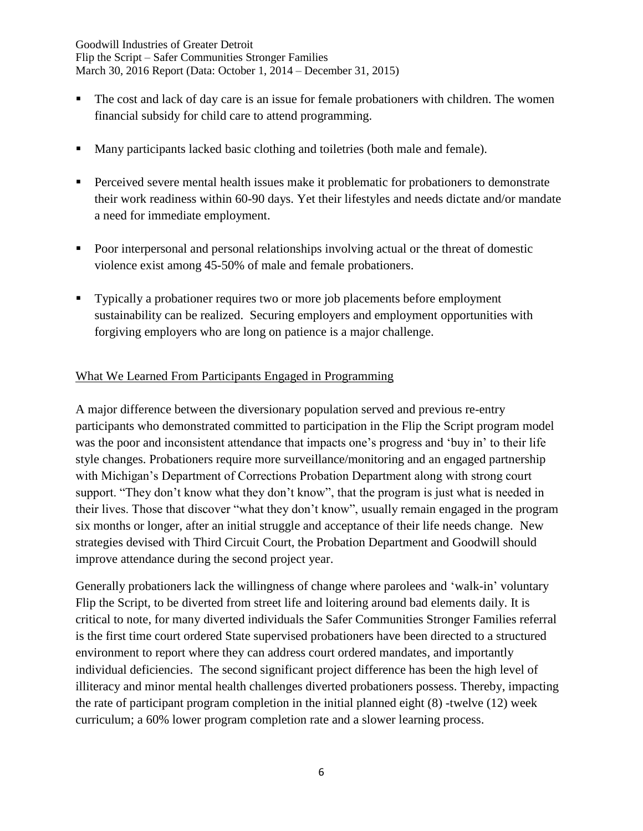- The cost and lack of day care is an issue for female probationers with children. The women financial subsidy for child care to attend programming.
- Many participants lacked basic clothing and toiletries (both male and female).
- Perceived severe mental health issues make it problematic for probationers to demonstrate their work readiness within 60-90 days. Yet their lifestyles and needs dictate and/or mandate a need for immediate employment.
- Poor interpersonal and personal relationships involving actual or the threat of domestic violence exist among 45-50% of male and female probationers.
- Typically a probationer requires two or more job placements before employment sustainability can be realized. Securing employers and employment opportunities with forgiving employers who are long on patience is a major challenge.

# What We Learned From Participants Engaged in Programming

A major difference between the diversionary population served and previous re-entry participants who demonstrated committed to participation in the Flip the Script program model was the poor and inconsistent attendance that impacts one's progress and 'buy in' to their life style changes. Probationers require more surveillance/monitoring and an engaged partnership with Michigan's Department of Corrections Probation Department along with strong court support. "They don't know what they don't know", that the program is just what is needed in their lives. Those that discover "what they don't know", usually remain engaged in the program six months or longer, after an initial struggle and acceptance of their life needs change. New strategies devised with Third Circuit Court, the Probation Department and Goodwill should improve attendance during the second project year.

Generally probationers lack the willingness of change where parolees and 'walk-in' voluntary Flip the Script, to be diverted from street life and loitering around bad elements daily. It is critical to note, for many diverted individuals the Safer Communities Stronger Families referral is the first time court ordered State supervised probationers have been directed to a structured environment to report where they can address court ordered mandates, and importantly individual deficiencies. The second significant project difference has been the high level of illiteracy and minor mental health challenges diverted probationers possess. Thereby, impacting the rate of participant program completion in the initial planned eight (8) -twelve (12) week curriculum; a 60% lower program completion rate and a slower learning process.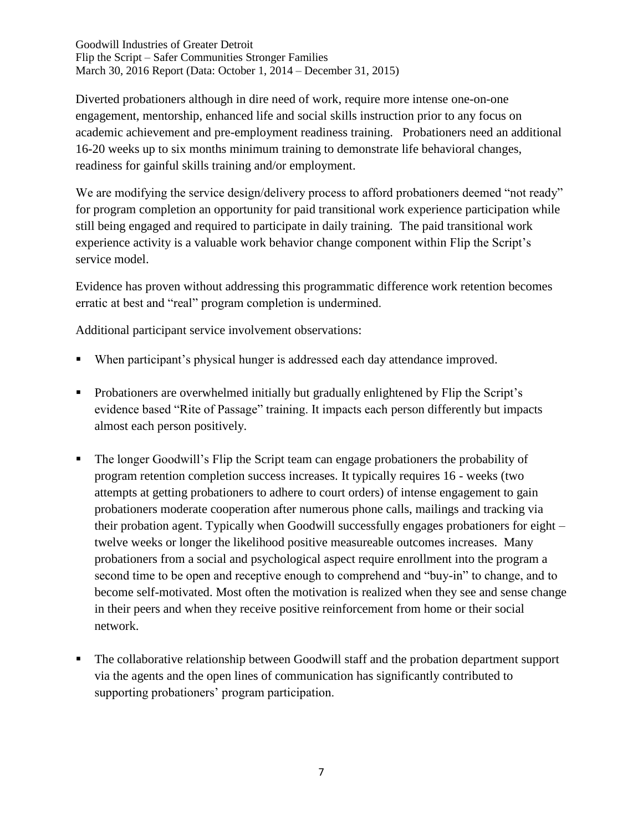Diverted probationers although in dire need of work, require more intense one-on-one engagement, mentorship, enhanced life and social skills instruction prior to any focus on academic achievement and pre-employment readiness training. Probationers need an additional 16-20 weeks up to six months minimum training to demonstrate life behavioral changes, readiness for gainful skills training and/or employment.

We are modifying the service design/delivery process to afford probationers deemed "not ready" for program completion an opportunity for paid transitional work experience participation while still being engaged and required to participate in daily training. The paid transitional work experience activity is a valuable work behavior change component within Flip the Script's service model.

Evidence has proven without addressing this programmatic difference work retention becomes erratic at best and "real" program completion is undermined.

Additional participant service involvement observations:

- When participant's physical hunger is addressed each day attendance improved.
- Probationers are overwhelmed initially but gradually enlightened by Flip the Script's evidence based "Rite of Passage" training. It impacts each person differently but impacts almost each person positively.
- The longer Goodwill's Flip the Script team can engage probationers the probability of program retention completion success increases. It typically requires 16 - weeks (two attempts at getting probationers to adhere to court orders) of intense engagement to gain probationers moderate cooperation after numerous phone calls, mailings and tracking via their probation agent. Typically when Goodwill successfully engages probationers for eight – twelve weeks or longer the likelihood positive measureable outcomes increases. Many probationers from a social and psychological aspect require enrollment into the program a second time to be open and receptive enough to comprehend and "buy-in" to change, and to become self-motivated. Most often the motivation is realized when they see and sense change in their peers and when they receive positive reinforcement from home or their social network.
- The collaborative relationship between Goodwill staff and the probation department support via the agents and the open lines of communication has significantly contributed to supporting probationers' program participation.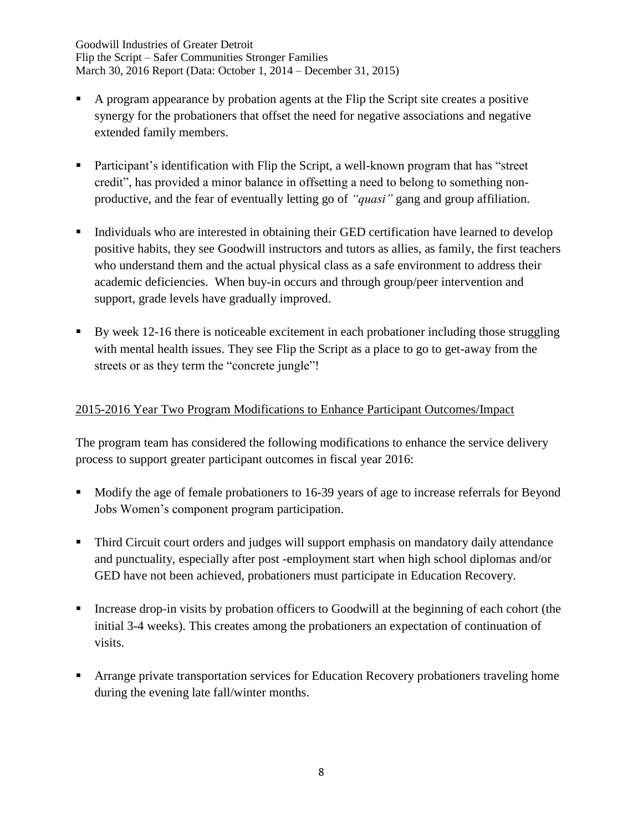- A program appearance by probation agents at the Flip the Script site creates a positive synergy for the probationers that offset the need for negative associations and negative extended family members.
- Participant's identification with Flip the Script, a well-known program that has "street credit", has provided a minor balance in offsetting a need to belong to something nonproductive, and the fear of eventually letting go of *"quasi"* gang and group affiliation.
- Individuals who are interested in obtaining their GED certification have learned to develop positive habits, they see Goodwill instructors and tutors as allies, as family, the first teachers who understand them and the actual physical class as a safe environment to address their academic deficiencies. When buy-in occurs and through group/peer intervention and support, grade levels have gradually improved.
- By week 12-16 there is noticeable excitement in each probationer including those struggling with mental health issues. They see Flip the Script as a place to go to get-away from the streets or as they term the "concrete jungle"!

## 2015-2016 Year Two Program Modifications to Enhance Participant Outcomes/Impact

The program team has considered the following modifications to enhance the service delivery process to support greater participant outcomes in fiscal year 2016:

- Modify the age of female probationers to 16-39 years of age to increase referrals for Beyond Jobs Women's component program participation.
- Third Circuit court orders and judges will support emphasis on mandatory daily attendance and punctuality, especially after post -employment start when high school diplomas and/or GED have not been achieved, probationers must participate in Education Recovery.
- Increase drop-in visits by probation officers to Goodwill at the beginning of each cohort (the initial 3-4 weeks). This creates among the probationers an expectation of continuation of visits.
- Arrange private transportation services for Education Recovery probationers traveling home during the evening late fall/winter months.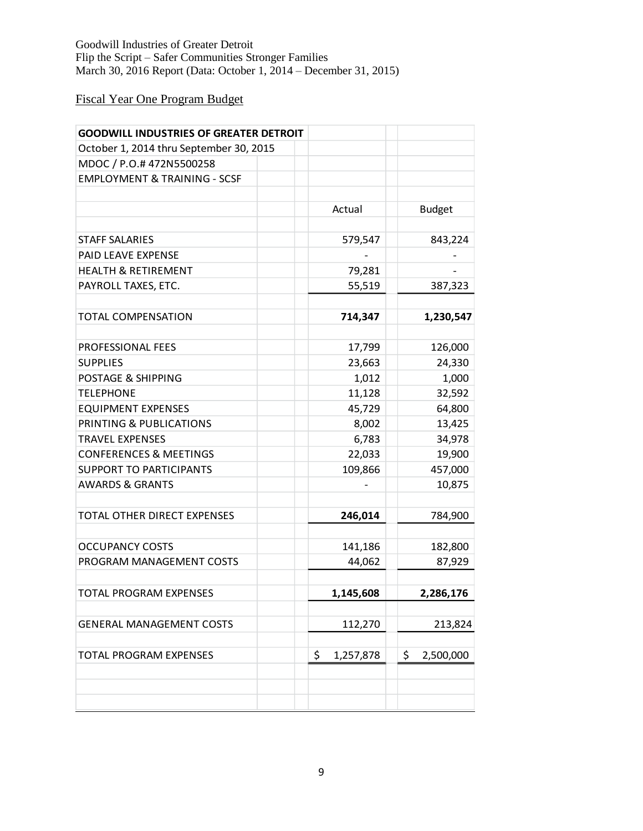# Fiscal Year One Program Budget

| October 1, 2014 thru September 30, 2015<br>MDOC / P.O.# 472N5500258<br><b>EMPLOYMENT &amp; TRAINING - SCSF</b><br>Actual<br><b>Budget</b><br><b>STAFF SALARIES</b><br>843,224<br>579,547<br>PAID LEAVE EXPENSE<br><b>HEALTH &amp; RETIREMENT</b><br>79,281<br>PAYROLL TAXES, ETC.<br>55,519<br>387,323<br><b>TOTAL COMPENSATION</b><br>714,347<br>1,230,547<br><b>PROFESSIONAL FEES</b><br>17,799<br>126,000<br><b>SUPPLIES</b><br>23,663<br>24,330<br>POSTAGE & SHIPPING<br>1,012<br>1,000<br><b>TELEPHONE</b><br>11,128<br>32,592<br><b>EQUIPMENT EXPENSES</b><br>45,729<br>64,800<br>PRINTING & PUBLICATIONS<br>13,425<br>8,002<br><b>TRAVEL EXPENSES</b><br>6,783<br>34,978<br>19,900<br><b>CONFERENCES &amp; MEETINGS</b><br>22,033<br>109,866<br>457,000<br><b>SUPPORT TO PARTICIPANTS</b><br><b>AWARDS &amp; GRANTS</b><br>10,875<br><b>TOTAL OTHER DIRECT EXPENSES</b><br>246,014<br>784,900<br><b>OCCUPANCY COSTS</b><br>141,186<br>182,800<br>PROGRAM MANAGEMENT COSTS<br>44,062<br>87,929<br>TOTAL PROGRAM EXPENSES<br>1,145,608<br>2,286,176<br><b>GENERAL MANAGEMENT COSTS</b><br>112,270<br>\$<br><b>TOTAL PROGRAM EXPENSES</b><br>\$<br>2,500,000<br>1,257,878 | <b>GOODWILL INDUSTRIES OF GREATER DETROIT</b> |         |
|-------------------------------------------------------------------------------------------------------------------------------------------------------------------------------------------------------------------------------------------------------------------------------------------------------------------------------------------------------------------------------------------------------------------------------------------------------------------------------------------------------------------------------------------------------------------------------------------------------------------------------------------------------------------------------------------------------------------------------------------------------------------------------------------------------------------------------------------------------------------------------------------------------------------------------------------------------------------------------------------------------------------------------------------------------------------------------------------------------------------------------------------------------------------------------|-----------------------------------------------|---------|
|                                                                                                                                                                                                                                                                                                                                                                                                                                                                                                                                                                                                                                                                                                                                                                                                                                                                                                                                                                                                                                                                                                                                                                               |                                               |         |
|                                                                                                                                                                                                                                                                                                                                                                                                                                                                                                                                                                                                                                                                                                                                                                                                                                                                                                                                                                                                                                                                                                                                                                               |                                               |         |
|                                                                                                                                                                                                                                                                                                                                                                                                                                                                                                                                                                                                                                                                                                                                                                                                                                                                                                                                                                                                                                                                                                                                                                               |                                               |         |
|                                                                                                                                                                                                                                                                                                                                                                                                                                                                                                                                                                                                                                                                                                                                                                                                                                                                                                                                                                                                                                                                                                                                                                               |                                               |         |
|                                                                                                                                                                                                                                                                                                                                                                                                                                                                                                                                                                                                                                                                                                                                                                                                                                                                                                                                                                                                                                                                                                                                                                               |                                               |         |
|                                                                                                                                                                                                                                                                                                                                                                                                                                                                                                                                                                                                                                                                                                                                                                                                                                                                                                                                                                                                                                                                                                                                                                               |                                               |         |
|                                                                                                                                                                                                                                                                                                                                                                                                                                                                                                                                                                                                                                                                                                                                                                                                                                                                                                                                                                                                                                                                                                                                                                               |                                               |         |
|                                                                                                                                                                                                                                                                                                                                                                                                                                                                                                                                                                                                                                                                                                                                                                                                                                                                                                                                                                                                                                                                                                                                                                               |                                               |         |
|                                                                                                                                                                                                                                                                                                                                                                                                                                                                                                                                                                                                                                                                                                                                                                                                                                                                                                                                                                                                                                                                                                                                                                               |                                               |         |
|                                                                                                                                                                                                                                                                                                                                                                                                                                                                                                                                                                                                                                                                                                                                                                                                                                                                                                                                                                                                                                                                                                                                                                               |                                               |         |
|                                                                                                                                                                                                                                                                                                                                                                                                                                                                                                                                                                                                                                                                                                                                                                                                                                                                                                                                                                                                                                                                                                                                                                               |                                               |         |
|                                                                                                                                                                                                                                                                                                                                                                                                                                                                                                                                                                                                                                                                                                                                                                                                                                                                                                                                                                                                                                                                                                                                                                               |                                               |         |
|                                                                                                                                                                                                                                                                                                                                                                                                                                                                                                                                                                                                                                                                                                                                                                                                                                                                                                                                                                                                                                                                                                                                                                               |                                               |         |
|                                                                                                                                                                                                                                                                                                                                                                                                                                                                                                                                                                                                                                                                                                                                                                                                                                                                                                                                                                                                                                                                                                                                                                               |                                               |         |
|                                                                                                                                                                                                                                                                                                                                                                                                                                                                                                                                                                                                                                                                                                                                                                                                                                                                                                                                                                                                                                                                                                                                                                               |                                               |         |
|                                                                                                                                                                                                                                                                                                                                                                                                                                                                                                                                                                                                                                                                                                                                                                                                                                                                                                                                                                                                                                                                                                                                                                               |                                               |         |
|                                                                                                                                                                                                                                                                                                                                                                                                                                                                                                                                                                                                                                                                                                                                                                                                                                                                                                                                                                                                                                                                                                                                                                               |                                               |         |
|                                                                                                                                                                                                                                                                                                                                                                                                                                                                                                                                                                                                                                                                                                                                                                                                                                                                                                                                                                                                                                                                                                                                                                               |                                               |         |
|                                                                                                                                                                                                                                                                                                                                                                                                                                                                                                                                                                                                                                                                                                                                                                                                                                                                                                                                                                                                                                                                                                                                                                               |                                               |         |
|                                                                                                                                                                                                                                                                                                                                                                                                                                                                                                                                                                                                                                                                                                                                                                                                                                                                                                                                                                                                                                                                                                                                                                               |                                               |         |
|                                                                                                                                                                                                                                                                                                                                                                                                                                                                                                                                                                                                                                                                                                                                                                                                                                                                                                                                                                                                                                                                                                                                                                               |                                               |         |
|                                                                                                                                                                                                                                                                                                                                                                                                                                                                                                                                                                                                                                                                                                                                                                                                                                                                                                                                                                                                                                                                                                                                                                               |                                               |         |
|                                                                                                                                                                                                                                                                                                                                                                                                                                                                                                                                                                                                                                                                                                                                                                                                                                                                                                                                                                                                                                                                                                                                                                               |                                               |         |
|                                                                                                                                                                                                                                                                                                                                                                                                                                                                                                                                                                                                                                                                                                                                                                                                                                                                                                                                                                                                                                                                                                                                                                               |                                               |         |
|                                                                                                                                                                                                                                                                                                                                                                                                                                                                                                                                                                                                                                                                                                                                                                                                                                                                                                                                                                                                                                                                                                                                                                               |                                               |         |
|                                                                                                                                                                                                                                                                                                                                                                                                                                                                                                                                                                                                                                                                                                                                                                                                                                                                                                                                                                                                                                                                                                                                                                               |                                               |         |
|                                                                                                                                                                                                                                                                                                                                                                                                                                                                                                                                                                                                                                                                                                                                                                                                                                                                                                                                                                                                                                                                                                                                                                               |                                               |         |
|                                                                                                                                                                                                                                                                                                                                                                                                                                                                                                                                                                                                                                                                                                                                                                                                                                                                                                                                                                                                                                                                                                                                                                               |                                               |         |
|                                                                                                                                                                                                                                                                                                                                                                                                                                                                                                                                                                                                                                                                                                                                                                                                                                                                                                                                                                                                                                                                                                                                                                               |                                               |         |
|                                                                                                                                                                                                                                                                                                                                                                                                                                                                                                                                                                                                                                                                                                                                                                                                                                                                                                                                                                                                                                                                                                                                                                               |                                               |         |
|                                                                                                                                                                                                                                                                                                                                                                                                                                                                                                                                                                                                                                                                                                                                                                                                                                                                                                                                                                                                                                                                                                                                                                               |                                               |         |
|                                                                                                                                                                                                                                                                                                                                                                                                                                                                                                                                                                                                                                                                                                                                                                                                                                                                                                                                                                                                                                                                                                                                                                               |                                               | 213,824 |
|                                                                                                                                                                                                                                                                                                                                                                                                                                                                                                                                                                                                                                                                                                                                                                                                                                                                                                                                                                                                                                                                                                                                                                               |                                               |         |
|                                                                                                                                                                                                                                                                                                                                                                                                                                                                                                                                                                                                                                                                                                                                                                                                                                                                                                                                                                                                                                                                                                                                                                               |                                               |         |
|                                                                                                                                                                                                                                                                                                                                                                                                                                                                                                                                                                                                                                                                                                                                                                                                                                                                                                                                                                                                                                                                                                                                                                               |                                               |         |
|                                                                                                                                                                                                                                                                                                                                                                                                                                                                                                                                                                                                                                                                                                                                                                                                                                                                                                                                                                                                                                                                                                                                                                               |                                               |         |
|                                                                                                                                                                                                                                                                                                                                                                                                                                                                                                                                                                                                                                                                                                                                                                                                                                                                                                                                                                                                                                                                                                                                                                               |                                               |         |